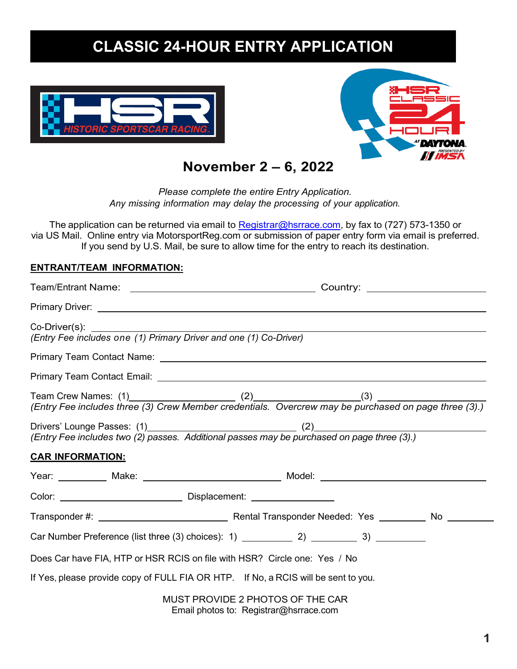# **CLASSIC 24-HOUR ENTRY APPLICATION**





**November 2 – 6, 2022**

*Please complete the entire Entry Application. Any missing information may delay the processing of your application.*

The application can be returned via email to [Registrar@hsrrace.com,](mailto:Registrar@hsrrace.com) by fax to (727) 573-1350 or via US Mail. Online entry via MotorsportReg.com or submission of paper entry form via email is preferred. If you send by U.S. Mail, be sure to allow time for the entry to reach its destination.

#### **ENTRANT/TEAM INFORMATION:**

| Primary Driver: Note that the state of the state of the state of the state of the state of the state of the state of the state of the state of the state of the state of the state of the state of the state of the state of t |                                                                            |  |  |  |  |
|--------------------------------------------------------------------------------------------------------------------------------------------------------------------------------------------------------------------------------|----------------------------------------------------------------------------|--|--|--|--|
| Co-Driver(s):<br>(Entry Fee includes one (1) Primary Driver and one (1) Co-Driver)                                                                                                                                             |                                                                            |  |  |  |  |
|                                                                                                                                                                                                                                |                                                                            |  |  |  |  |
|                                                                                                                                                                                                                                |                                                                            |  |  |  |  |
|                                                                                                                                                                                                                                |                                                                            |  |  |  |  |
| (Entry Fee includes two (2) passes. Additional passes may be purchased on page three (3).)                                                                                                                                     |                                                                            |  |  |  |  |
| <b>CAR INFORMATION:</b>                                                                                                                                                                                                        |                                                                            |  |  |  |  |
| Year: ___________ Make: ____________________________ Model: _____________________                                                                                                                                              |                                                                            |  |  |  |  |
|                                                                                                                                                                                                                                |                                                                            |  |  |  |  |
|                                                                                                                                                                                                                                |                                                                            |  |  |  |  |
|                                                                                                                                                                                                                                |                                                                            |  |  |  |  |
| Does Car have FIA, HTP or HSR RCIS on file with HSR? Circle one: Yes / No                                                                                                                                                      |                                                                            |  |  |  |  |
| If Yes, please provide copy of FULL FIA OR HTP. If No, a RCIS will be sent to you.                                                                                                                                             |                                                                            |  |  |  |  |
|                                                                                                                                                                                                                                | MUST PROVIDE 2 PHOTOS OF THE CAR<br>Email photos to: Registrar@hsrrace.com |  |  |  |  |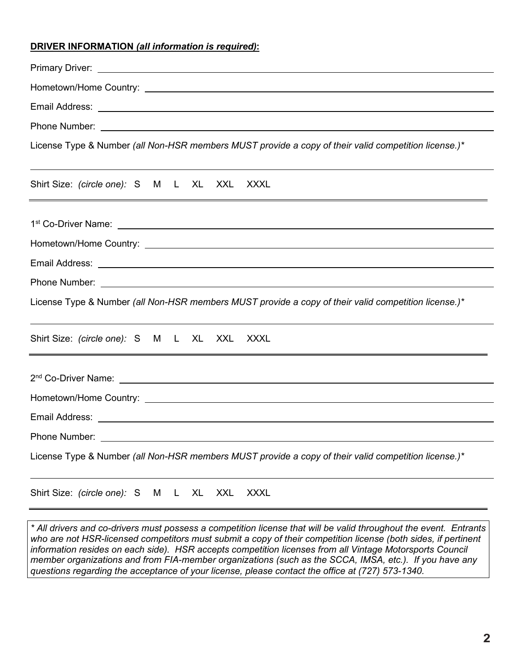#### **DRIVER INFORMATION** *(all information is required)***:**

| Email Address: <u>Dentische American and Charles and Charles and Charles and Charles and Charles and Charles and Charles and Charles and Charles and Charles and Charles and Charles and Charles and Charles and Charles and Cha</u> |
|--------------------------------------------------------------------------------------------------------------------------------------------------------------------------------------------------------------------------------------|
|                                                                                                                                                                                                                                      |
| License Type & Number (all Non-HSR members MUST provide a copy of their valid competition license.)*                                                                                                                                 |
| Shirt Size: (circle one): S M L XL XXL XXXL                                                                                                                                                                                          |
|                                                                                                                                                                                                                                      |
|                                                                                                                                                                                                                                      |
| Email Address: North American State Communication of the Communication of the Communication of the Communication                                                                                                                     |
|                                                                                                                                                                                                                                      |
| License Type & Number (all Non-HSR members MUST provide a copy of their valid competition license.)*                                                                                                                                 |
| Shirt Size: (circle one): S M L XL XXL XXXL                                                                                                                                                                                          |
|                                                                                                                                                                                                                                      |
|                                                                                                                                                                                                                                      |
|                                                                                                                                                                                                                                      |
| Phone Number:                                                                                                                                                                                                                        |
| License Type & Number (all Non-HSR members MUST provide a copy of their valid competition license.)*                                                                                                                                 |
| Shirt Size: (circle one): S<br><b>XXXL</b><br>XXL<br>M<br>XL                                                                                                                                                                         |

*\* All drivers and co-drivers must possess a competition license that will be valid throughout the event. Entrants who are not HSR-licensed competitors must submit a copy of their competition license (both sides, if pertinent information resides on each side). HSR accepts competition licenses from all Vintage Motorsports Council member organizations and from FIA-member organizations (such as the SCCA, IMSA, etc.). If you have any questions regarding the acceptance of your license, please contact the office at (727) 573-1340.*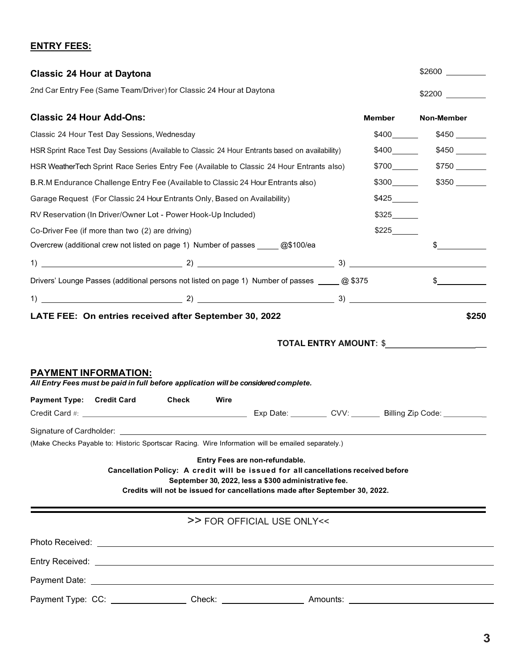## **ENTRY FEES:**

| <b>Classic 24 Hour at Daytona</b><br>2nd Car Entry Fee (Same Team/Driver) for Classic 24 Hour at Daytona                                                                                                                                     |              |                                                                                                                                                                                                                                                             |  |       | Non-Member                                                                                                                                                                                                                     |  |                                 |  |  |                        |       |
|----------------------------------------------------------------------------------------------------------------------------------------------------------------------------------------------------------------------------------------------|--------------|-------------------------------------------------------------------------------------------------------------------------------------------------------------------------------------------------------------------------------------------------------------|--|-------|--------------------------------------------------------------------------------------------------------------------------------------------------------------------------------------------------------------------------------|--|---------------------------------|--|--|------------------------|-------|
|                                                                                                                                                                                                                                              |              |                                                                                                                                                                                                                                                             |  |       |                                                                                                                                                                                                                                |  | <b>Classic 24 Hour Add-Ons:</b> |  |  |                        |       |
| Classic 24 Hour Test Day Sessions, Wednesday<br>HSR Sprint Race Test Day Sessions (Available to Classic 24 Hour Entrants based on availability)<br>HSR WeatherTech Sprint Race Series Entry Fee (Available to Classic 24 Hour Entrants also) |              |                                                                                                                                                                                                                                                             |  |       |                                                                                                                                                                                                                                |  | $$700$ $$750$                   |  |  |                        |       |
|                                                                                                                                                                                                                                              |              |                                                                                                                                                                                                                                                             |  |       | B.R.M Endurance Challenge Entry Fee (Available to Classic 24 Hour Entrants also)<br>Garage Request (For Classic 24 Hour Entrants Only, Based on Availability)<br>RV Reservation (In Driver/Owner Lot - Power Hook-Up Included) |  |                                 |  |  | $$300$ $$350$<br>\$425 |       |
|                                                                                                                                                                                                                                              |              |                                                                                                                                                                                                                                                             |  |       |                                                                                                                                                                                                                                |  |                                 |  |  |                        | \$325 |
| Co-Driver Fee (if more than two (2) are driving)                                                                                                                                                                                             |              |                                                                                                                                                                                                                                                             |  | \$225 |                                                                                                                                                                                                                                |  |                                 |  |  |                        |       |
|                                                                                                                                                                                                                                              |              | Overcrew (additional crew not listed on page 1) Number of passes ______ @\$100/ea                                                                                                                                                                           |  |       |                                                                                                                                                                                                                                |  |                                 |  |  |                        |       |
|                                                                                                                                                                                                                                              |              |                                                                                                                                                                                                                                                             |  |       |                                                                                                                                                                                                                                |  |                                 |  |  |                        |       |
|                                                                                                                                                                                                                                              |              | Drivers' Lounge Passes (additional persons not listed on page 1) Number of passes _____ @ \$375                                                                                                                                                             |  |       | $\frac{1}{2}$                                                                                                                                                                                                                  |  |                                 |  |  |                        |       |
|                                                                                                                                                                                                                                              |              |                                                                                                                                                                                                                                                             |  |       |                                                                                                                                                                                                                                |  |                                 |  |  |                        |       |
| <b>PAYMENT INFORMATION:</b>                                                                                                                                                                                                                  |              | All Entry Fees must be paid in full before application will be considered complete.                                                                                                                                                                         |  |       |                                                                                                                                                                                                                                |  |                                 |  |  |                        |       |
| <b>Payment Type:</b><br><b>Credit Card</b>                                                                                                                                                                                                   | <b>Check</b> | Wire                                                                                                                                                                                                                                                        |  |       |                                                                                                                                                                                                                                |  |                                 |  |  |                        |       |
|                                                                                                                                                                                                                                              |              |                                                                                                                                                                                                                                                             |  |       |                                                                                                                                                                                                                                |  |                                 |  |  |                        |       |
| Signature of Cardholder: ___________                                                                                                                                                                                                         |              | (Make Checks Payable to: Historic Sportscar Racing. Wire Information will be emailed separately.)                                                                                                                                                           |  |       |                                                                                                                                                                                                                                |  |                                 |  |  |                        |       |
|                                                                                                                                                                                                                                              |              | Entry Fees are non-refundable.<br>Cancellation Policy: A credit will be issued for all cancellations received before<br>September 30, 2022, less a \$300 administrative fee.<br>Credits will not be issued for cancellations made after September 30, 2022. |  |       |                                                                                                                                                                                                                                |  |                                 |  |  |                        |       |
|                                                                                                                                                                                                                                              |              | >> FOR OFFICIAL USE ONLY <<                                                                                                                                                                                                                                 |  |       |                                                                                                                                                                                                                                |  |                                 |  |  |                        |       |
|                                                                                                                                                                                                                                              |              |                                                                                                                                                                                                                                                             |  |       |                                                                                                                                                                                                                                |  |                                 |  |  |                        |       |
|                                                                                                                                                                                                                                              |              |                                                                                                                                                                                                                                                             |  |       |                                                                                                                                                                                                                                |  |                                 |  |  |                        |       |
|                                                                                                                                                                                                                                              |              |                                                                                                                                                                                                                                                             |  |       |                                                                                                                                                                                                                                |  |                                 |  |  |                        |       |
|                                                                                                                                                                                                                                              |              | Payment Type: CC: __________________Check: _________________________Amounts: _________________________________                                                                                                                                              |  |       |                                                                                                                                                                                                                                |  |                                 |  |  |                        |       |